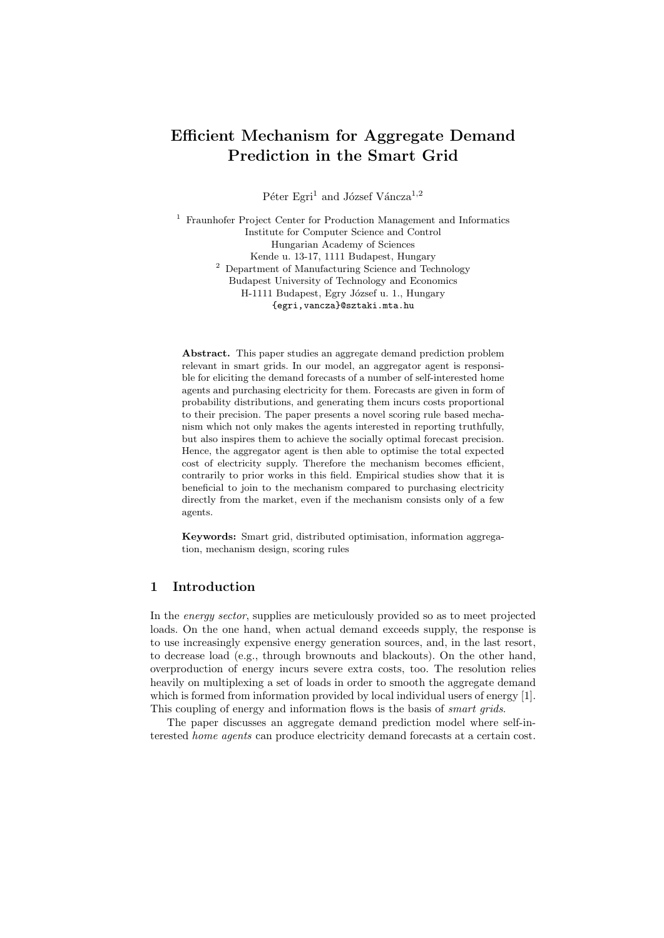# Efficient Mechanism for Aggregate Demand Prediction in the Smart Grid

Péter Egri<sup>1</sup> and József Váncza<sup>1,2</sup>

<sup>1</sup> Fraunhofer Project Center for Production Management and Informatics Institute for Computer Science and Control Hungarian Academy of Sciences Kende u. 13-17, 1111 Budapest, Hungary <sup>2</sup> Department of Manufacturing Science and Technology Budapest University of Technology and Economics H-1111 Budapest, Egry József u. 1., Hungary {egri,vancza}@sztaki.mta.hu

Abstract. This paper studies an aggregate demand prediction problem relevant in smart grids. In our model, an aggregator agent is responsible for eliciting the demand forecasts of a number of self-interested home agents and purchasing electricity for them. Forecasts are given in form of probability distributions, and generating them incurs costs proportional to their precision. The paper presents a novel scoring rule based mechanism which not only makes the agents interested in reporting truthfully, but also inspires them to achieve the socially optimal forecast precision. Hence, the aggregator agent is then able to optimise the total expected cost of electricity supply. Therefore the mechanism becomes efficient, contrarily to prior works in this field. Empirical studies show that it is beneficial to join to the mechanism compared to purchasing electricity directly from the market, even if the mechanism consists only of a few agents.

Keywords: Smart grid, distributed optimisation, information aggregation, mechanism design, scoring rules

## 1 Introduction

In the energy sector, supplies are meticulously provided so as to meet projected loads. On the one hand, when actual demand exceeds supply, the response is to use increasingly expensive energy generation sources, and, in the last resort, to decrease load (e.g., through brownouts and blackouts). On the other hand, overproduction of energy incurs severe extra costs, too. The resolution relies heavily on multiplexing a set of loads in order to smooth the aggregate demand which is formed from information provided by local individual users of energy [1]. This coupling of energy and information flows is the basis of *smart grids*.

The paper discusses an aggregate demand prediction model where self-interested home agents can produce electricity demand forecasts at a certain cost.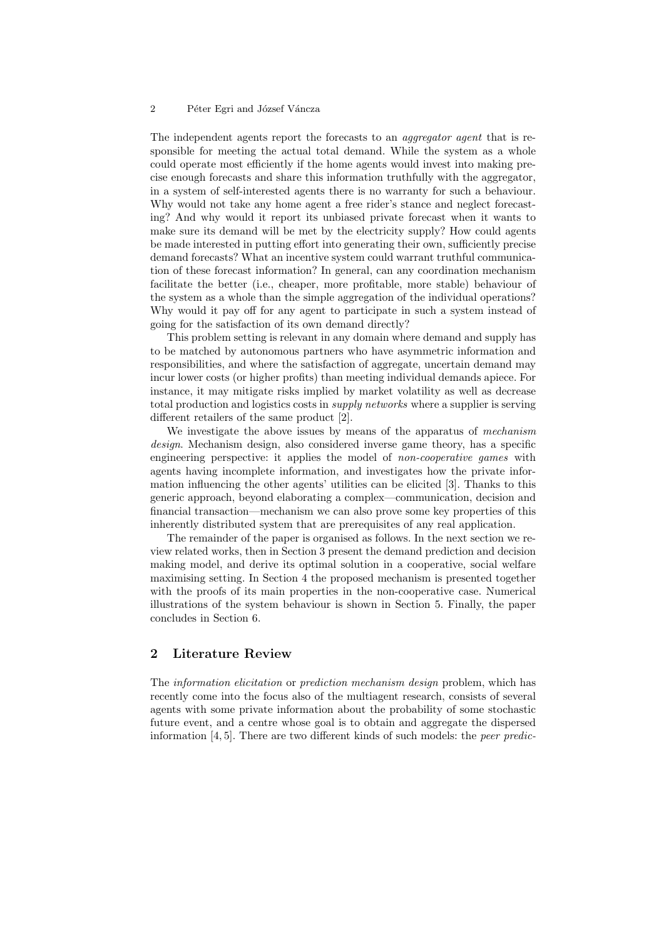The independent agents report the forecasts to an *aggregator agent* that is responsible for meeting the actual total demand. While the system as a whole could operate most efficiently if the home agents would invest into making precise enough forecasts and share this information truthfully with the aggregator, in a system of self-interested agents there is no warranty for such a behaviour. Why would not take any home agent a free rider's stance and neglect forecasting? And why would it report its unbiased private forecast when it wants to make sure its demand will be met by the electricity supply? How could agents be made interested in putting effort into generating their own, sufficiently precise demand forecasts? What an incentive system could warrant truthful communication of these forecast information? In general, can any coordination mechanism facilitate the better (i.e., cheaper, more profitable, more stable) behaviour of the system as a whole than the simple aggregation of the individual operations? Why would it pay off for any agent to participate in such a system instead of going for the satisfaction of its own demand directly?

This problem setting is relevant in any domain where demand and supply has to be matched by autonomous partners who have asymmetric information and responsibilities, and where the satisfaction of aggregate, uncertain demand may incur lower costs (or higher profits) than meeting individual demands apiece. For instance, it may mitigate risks implied by market volatility as well as decrease total production and logistics costs in supply networks where a supplier is serving different retailers of the same product [2].

We investigate the above issues by means of the apparatus of mechanism design. Mechanism design, also considered inverse game theory, has a specific engineering perspective: it applies the model of *non-cooperative games* with agents having incomplete information, and investigates how the private information influencing the other agents' utilities can be elicited [3]. Thanks to this generic approach, beyond elaborating a complex—communication, decision and financial transaction—mechanism we can also prove some key properties of this inherently distributed system that are prerequisites of any real application.

The remainder of the paper is organised as follows. In the next section we review related works, then in Section 3 present the demand prediction and decision making model, and derive its optimal solution in a cooperative, social welfare maximising setting. In Section 4 the proposed mechanism is presented together with the proofs of its main properties in the non-cooperative case. Numerical illustrations of the system behaviour is shown in Section 5. Finally, the paper concludes in Section 6.

# 2 Literature Review

The information elicitation or prediction mechanism design problem, which has recently come into the focus also of the multiagent research, consists of several agents with some private information about the probability of some stochastic future event, and a centre whose goal is to obtain and aggregate the dispersed information [4, 5]. There are two different kinds of such models: the peer predic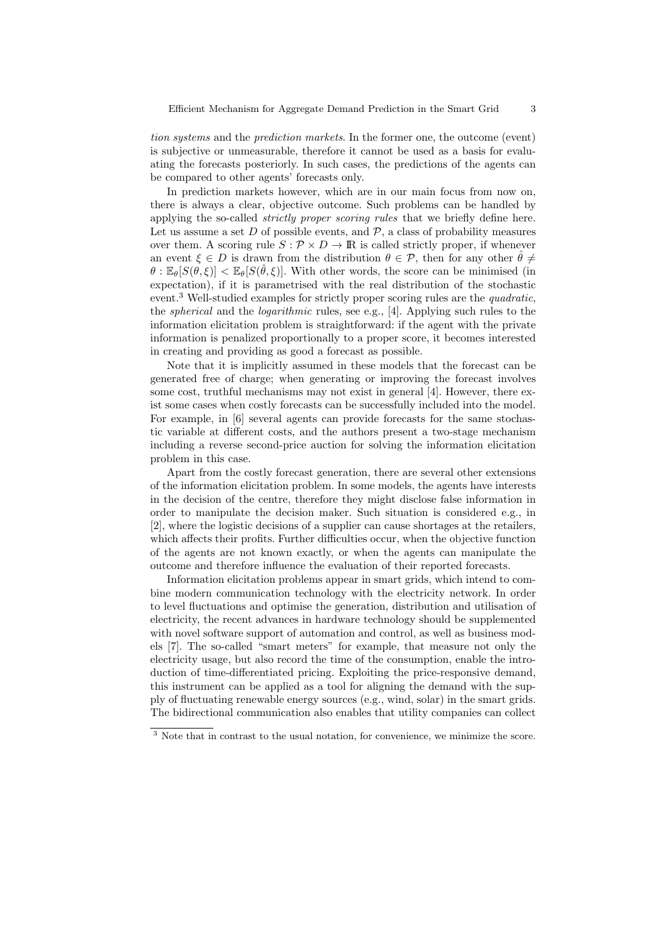tion systems and the prediction markets. In the former one, the outcome (event) is subjective or unmeasurable, therefore it cannot be used as a basis for evaluating the forecasts posteriorly. In such cases, the predictions of the agents can be compared to other agents' forecasts only.

In prediction markets however, which are in our main focus from now on, there is always a clear, objective outcome. Such problems can be handled by applying the so-called *strictly proper scoring rules* that we briefly define here. Let us assume a set  $D$  of possible events, and  $\mathcal{P}$ , a class of probability measures over them. A scoring rule  $S: \mathcal{P} \times D \to \mathbb{R}$  is called strictly proper, if whenever an event  $\xi \in D$  is drawn from the distribution  $\theta \in \mathcal{P}$ , then for any other  $\hat{\theta} \neq$  $\theta$ :  $\mathbb{E}_{\theta}[S(\theta,\xi)] < \mathbb{E}_{\theta}[S(\hat{\theta},\xi)]$ . With other words, the score can be minimised (in expectation), if it is parametrised with the real distribution of the stochastic event.<sup>3</sup> Well-studied examples for strictly proper scoring rules are the *quadratic*, the spherical and the logarithmic rules, see e.g., [4]. Applying such rules to the information elicitation problem is straightforward: if the agent with the private information is penalized proportionally to a proper score, it becomes interested in creating and providing as good a forecast as possible.

Note that it is implicitly assumed in these models that the forecast can be generated free of charge; when generating or improving the forecast involves some cost, truthful mechanisms may not exist in general [4]. However, there exist some cases when costly forecasts can be successfully included into the model. For example, in [6] several agents can provide forecasts for the same stochastic variable at different costs, and the authors present a two-stage mechanism including a reverse second-price auction for solving the information elicitation problem in this case.

Apart from the costly forecast generation, there are several other extensions of the information elicitation problem. In some models, the agents have interests in the decision of the centre, therefore they might disclose false information in order to manipulate the decision maker. Such situation is considered e.g., in [2], where the logistic decisions of a supplier can cause shortages at the retailers, which affects their profits. Further difficulties occur, when the objective function of the agents are not known exactly, or when the agents can manipulate the outcome and therefore influence the evaluation of their reported forecasts.

Information elicitation problems appear in smart grids, which intend to combine modern communication technology with the electricity network. In order to level fluctuations and optimise the generation, distribution and utilisation of electricity, the recent advances in hardware technology should be supplemented with novel software support of automation and control, as well as business models [7]. The so-called "smart meters" for example, that measure not only the electricity usage, but also record the time of the consumption, enable the introduction of time-differentiated pricing. Exploiting the price-responsive demand, this instrument can be applied as a tool for aligning the demand with the supply of fluctuating renewable energy sources (e.g., wind, solar) in the smart grids. The bidirectional communication also enables that utility companies can collect

<sup>&</sup>lt;sup>3</sup> Note that in contrast to the usual notation, for convenience, we minimize the score.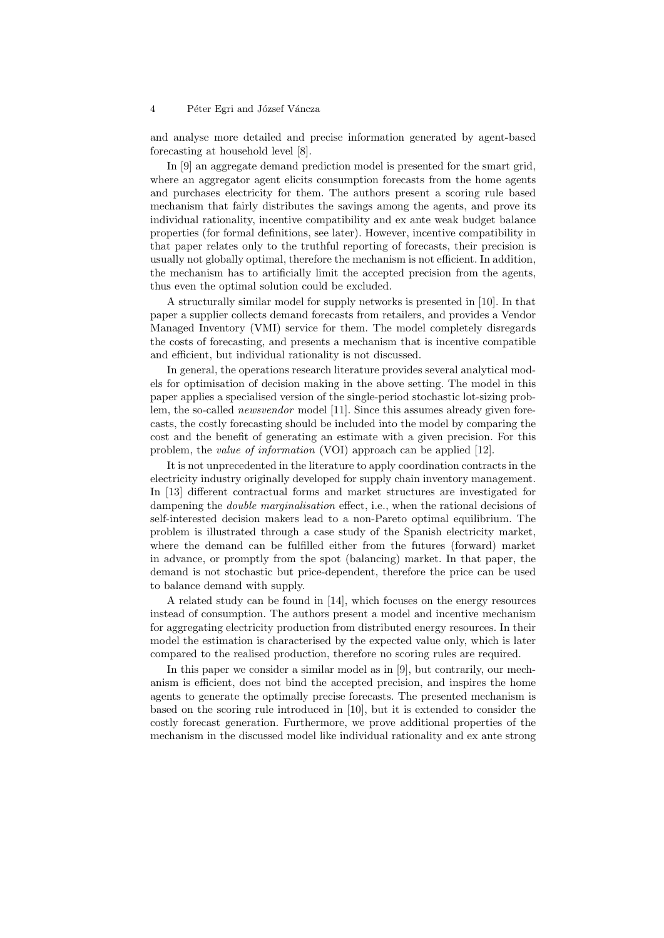and analyse more detailed and precise information generated by agent-based forecasting at household level [8].

In [9] an aggregate demand prediction model is presented for the smart grid, where an aggregator agent elicits consumption forecasts from the home agents and purchases electricity for them. The authors present a scoring rule based mechanism that fairly distributes the savings among the agents, and prove its individual rationality, incentive compatibility and ex ante weak budget balance properties (for formal definitions, see later). However, incentive compatibility in that paper relates only to the truthful reporting of forecasts, their precision is usually not globally optimal, therefore the mechanism is not efficient. In addition, the mechanism has to artificially limit the accepted precision from the agents, thus even the optimal solution could be excluded.

A structurally similar model for supply networks is presented in [10]. In that paper a supplier collects demand forecasts from retailers, and provides a Vendor Managed Inventory (VMI) service for them. The model completely disregards the costs of forecasting, and presents a mechanism that is incentive compatible and efficient, but individual rationality is not discussed.

In general, the operations research literature provides several analytical models for optimisation of decision making in the above setting. The model in this paper applies a specialised version of the single-period stochastic lot-sizing problem, the so-called *newsvendor* model [11]. Since this assumes already given forecasts, the costly forecasting should be included into the model by comparing the cost and the benefit of generating an estimate with a given precision. For this problem, the *value of information* (VOI) approach can be applied [12].

It is not unprecedented in the literature to apply coordination contracts in the electricity industry originally developed for supply chain inventory management. In [13] different contractual forms and market structures are investigated for dampening the *double marginalisation* effect, i.e., when the rational decisions of self-interested decision makers lead to a non-Pareto optimal equilibrium. The problem is illustrated through a case study of the Spanish electricity market, where the demand can be fulfilled either from the futures (forward) market in advance, or promptly from the spot (balancing) market. In that paper, the demand is not stochastic but price-dependent, therefore the price can be used to balance demand with supply.

A related study can be found in [14], which focuses on the energy resources instead of consumption. The authors present a model and incentive mechanism for aggregating electricity production from distributed energy resources. In their model the estimation is characterised by the expected value only, which is later compared to the realised production, therefore no scoring rules are required.

In this paper we consider a similar model as in [9], but contrarily, our mechanism is efficient, does not bind the accepted precision, and inspires the home agents to generate the optimally precise forecasts. The presented mechanism is based on the scoring rule introduced in [10], but it is extended to consider the costly forecast generation. Furthermore, we prove additional properties of the mechanism in the discussed model like individual rationality and ex ante strong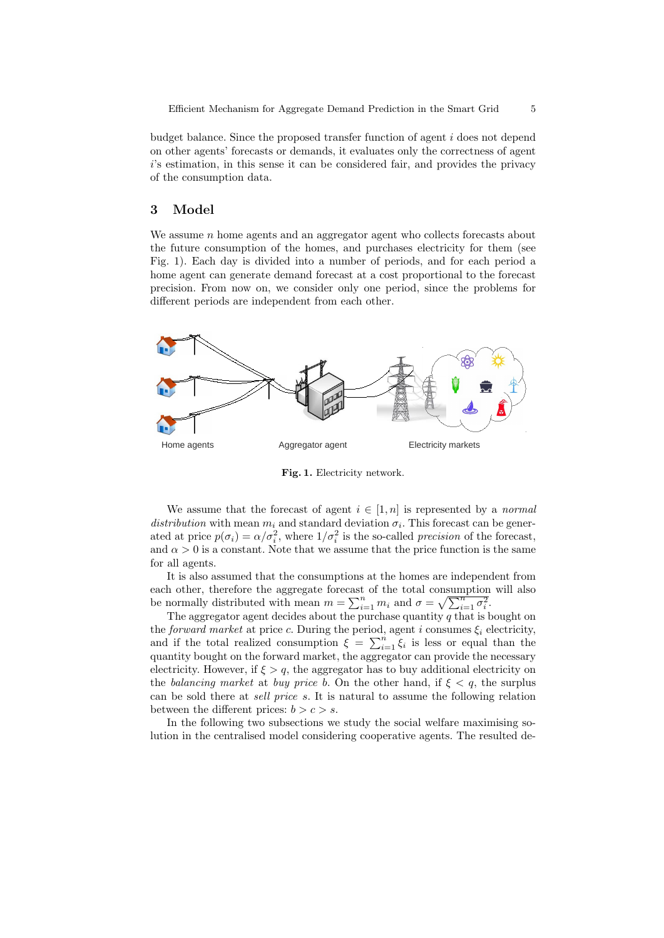budget balance. Since the proposed transfer function of agent  $i$  does not depend on other agents' forecasts or demands, it evaluates only the correctness of agent i's estimation, in this sense it can be considered fair, and provides the privacy of the consumption data.

## 3 Model

We assume  $n$  home agents and an aggregator agent who collects forecasts about the future consumption of the homes, and purchases electricity for them (see Fig. 1). Each day is divided into a number of periods, and for each period a home agent can generate demand forecast at a cost proportional to the forecast precision. From now on, we consider only one period, since the problems for different periods are independent from each other.



Fig. 1. Electricity network.

We assume that the forecast of agent  $i \in [1, n]$  is represented by a normal distribution with mean  $m_i$  and standard deviation  $\sigma_i$ . This forecast can be generated at price  $p(\sigma_i) = \alpha/\sigma_i^2$ , where  $1/\sigma_i^2$  is the so-called *precision* of the forecast, and  $\alpha > 0$  is a constant. Note that we assume that the price function is the same for all agents.

It is also assumed that the consumptions at the homes are independent from each other, therefore the aggregate forecast of the total consumption will also be normally distributed with mean  $m = \sum_{i=1}^{n} m_i$  and  $\sigma = \sqrt{\sum_{i=1}^{n} \sigma_i^2}$ .

The aggregator agent decides about the purchase quantity  $q$  that is bought on the forward market at price c. During the period, agent i consumes  $\xi_i$  electricity, and if the total realized consumption  $\xi = \sum_{i=1}^{n} \xi_i$  is less or equal than the quantity bought on the forward market, the aggregator can provide the necessary electricity. However, if  $\xi > q$ , the aggregator has to buy additional electricity on the balancing market at buy price b. On the other hand, if  $\xi < q$ , the surplus can be sold there at sell price s. It is natural to assume the following relation between the different prices:  $b > c > s$ .

In the following two subsections we study the social welfare maximising solution in the centralised model considering cooperative agents. The resulted de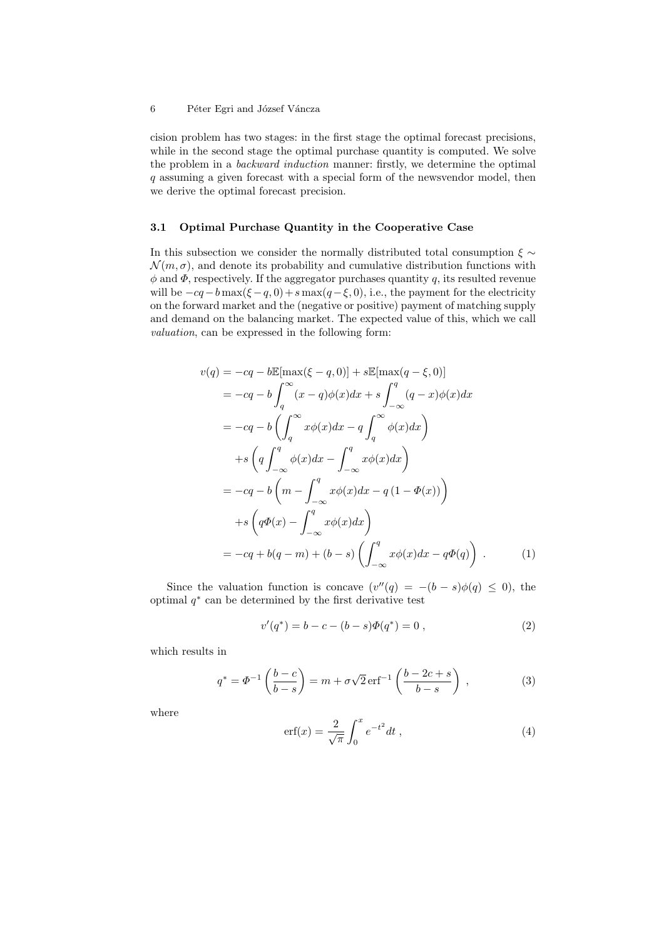cision problem has two stages: in the first stage the optimal forecast precisions, while in the second stage the optimal purchase quantity is computed. We solve the problem in a backward induction manner: firstly, we determine the optimal q assuming a given forecast with a special form of the newsvendor model, then we derive the optimal forecast precision.

## 3.1 Optimal Purchase Quantity in the Cooperative Case

In this subsection we consider the normally distributed total consumption  $\xi \sim$  $\mathcal{N}(m, \sigma)$ , and denote its probability and cumulative distribution functions with  $\phi$  and  $\Phi$ , respectively. If the aggregator purchases quantity q, its resulted revenue will be  $-cq-b \max(\xi - q, 0) + s \max(q-\xi, 0)$ , i.e., the payment for the electricity on the forward market and the (negative or positive) payment of matching supply and demand on the balancing market. The expected value of this, which we call valuation, can be expressed in the following form:

$$
v(q) = -cq - b\mathbb{E}[\max(\xi - q, 0)] + s\mathbb{E}[\max(q - \xi, 0)]
$$
  
\n
$$
= -cq - b\int_{q}^{\infty} (x - q)\phi(x)dx + s\int_{-\infty}^{q} (q - x)\phi(x)dx
$$
  
\n
$$
= -cq - b\left(\int_{q}^{\infty} x\phi(x)dx - q\int_{q}^{\infty} \phi(x)dx\right)
$$
  
\n
$$
+ s\left(q\int_{-\infty}^{q} \phi(x)dx - \int_{-\infty}^{q} x\phi(x)dx\right)
$$
  
\n
$$
= -cq - b\left(m - \int_{-\infty}^{q} x\phi(x)dx - q(1 - \Phi(x))\right)
$$
  
\n
$$
+ s\left(q\Phi(x) - \int_{-\infty}^{q} x\phi(x)dx\right)
$$
  
\n
$$
= -cq + b(q - m) + (b - s)\left(\int_{-\infty}^{q} x\phi(x)dx - q\Phi(q)\right).
$$
 (1)

Since the valuation function is concave  $(v''(q) = -(b - s)\phi(q) \leq 0)$ , the optimal  $q^*$  can be determined by the first derivative test

$$
v'(q^*) = b - c - (b - s)\Phi(q^*) = 0,
$$
\n(2)

which results in

$$
q^* = \Phi^{-1}\left(\frac{b-c}{b-s}\right) = m + \sigma\sqrt{2}\,\text{erf}^{-1}\left(\frac{b-2c+s}{b-s}\right) ,\qquad (3)
$$

where

$$
\text{erf}(x) = \frac{2}{\sqrt{\pi}} \int_0^x e^{-t^2} dt , \qquad (4)
$$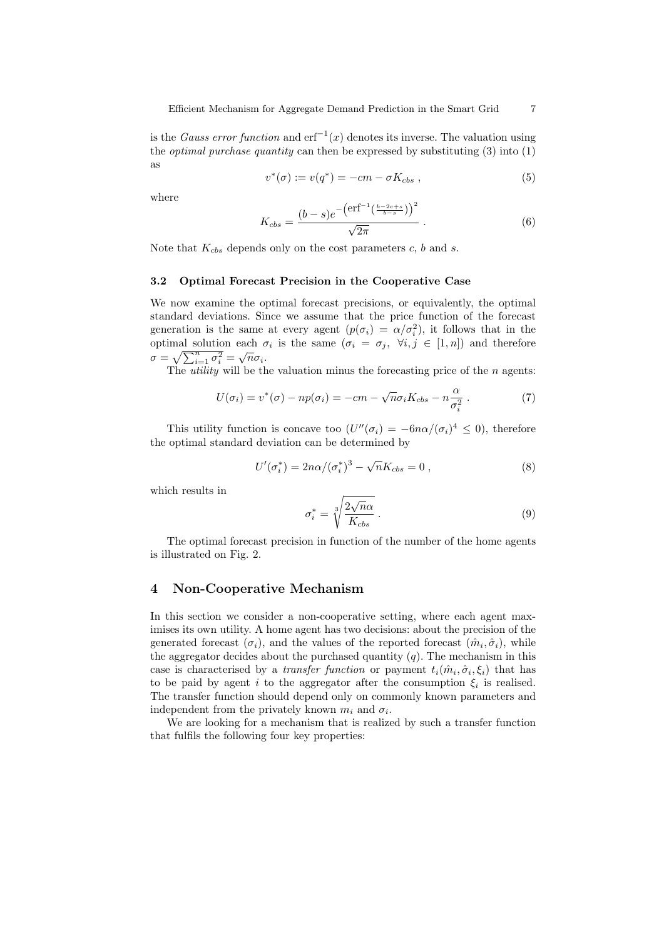is the *Gauss error function* and  $erf^{-1}(x)$  denotes its inverse. The valuation using the *optimal purchase quantity* can then be expressed by substituting  $(3)$  into  $(1)$ as

$$
v^*(\sigma) := v(q^*) = -cm - \sigma K_{cbs} , \qquad (5)
$$

where

$$
K_{cbs} = \frac{(b-s)e^{-\left(\text{erf}^{-1}\left(\frac{b-2c+s}{b-s}\right)\right)^2}}{\sqrt{2\pi}}.
$$
 (6)

Note that  $K_{cbs}$  depends only on the cost parameters  $c, b$  and  $s$ .

#### 3.2 Optimal Forecast Precision in the Cooperative Case

We now examine the optimal forecast precisions, or equivalently, the optimal standard deviations. Since we assume that the price function of the forecast generation is the same at every agent  $(p(\sigma_i) = \alpha/\sigma_i^2)$ , it follows that in the optimal solution each  $\sigma_i$  is the same  $(\sigma_i = \sigma_j, \forall i, j \in [1, n])$  and therefore  $σ = \sqrt{\sum_{i=1}^{n} σ_i^2} = \sqrt{n}σ_i.$ 

The *utility* will be the valuation minus the forecasting price of the  $n$  agents:

$$
U(\sigma_i) = v^*(\sigma) - np(\sigma_i) = -cm - \sqrt{n}\sigma_i K_{cbs} - n\frac{\alpha}{\sigma_i^2}.
$$
 (7)

This utility function is concave too  $(U''(\sigma_i) = -6n\alpha/(\sigma_i)^4 \leq 0)$ , therefore the optimal standard deviation can be determined by

$$
U'(\sigma_i^*) = 2n\alpha/(\sigma_i^*)^3 - \sqrt{n}K_{cbs} = 0 , \qquad (8)
$$

which results in

$$
\sigma_i^* = \sqrt[3]{\frac{2\sqrt{n}\alpha}{K_{cbs}}} \,. \tag{9}
$$

The optimal forecast precision in function of the number of the home agents is illustrated on Fig. 2.

# 4 Non-Cooperative Mechanism

In this section we consider a non-cooperative setting, where each agent maximises its own utility. A home agent has two decisions: about the precision of the generated forecast  $(\sigma_i)$ , and the values of the reported forecast  $(\hat{m}_i, \hat{\sigma}_i)$ , while the aggregator decides about the purchased quantity  $(q)$ . The mechanism in this case is characterised by a *transfer function* or payment  $t_i(\hat{m}_i, \hat{\sigma}_i, \xi_i)$  that has to be paid by agent i to the aggregator after the consumption  $\xi_i$  is realised. The transfer function should depend only on commonly known parameters and independent from the privately known  $m_i$  and  $\sigma_i$ .

We are looking for a mechanism that is realized by such a transfer function that fulfils the following four key properties: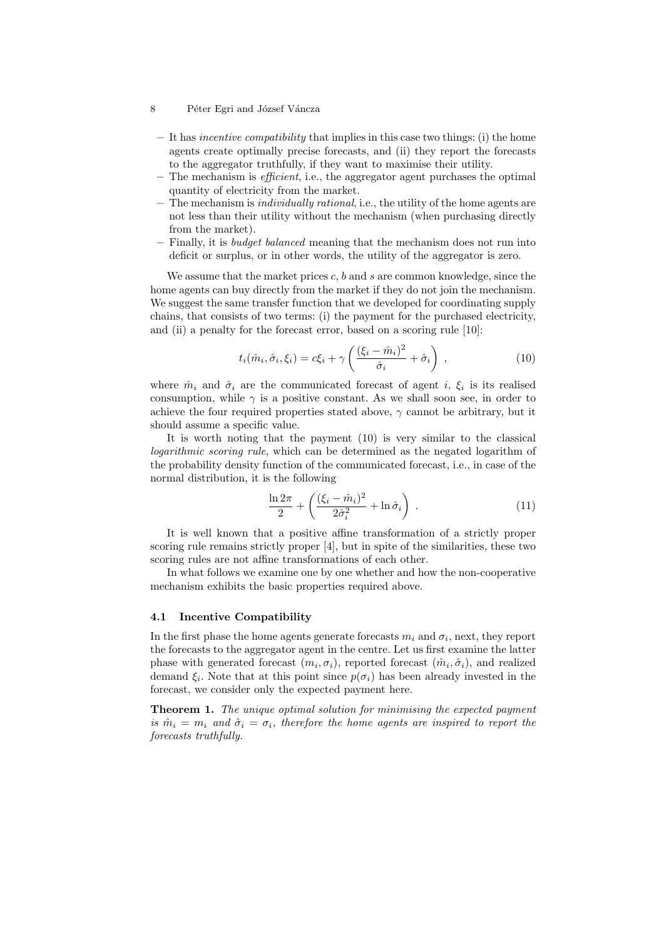- $-$  It has *incentive compatibility* that implies in this case two things: (i) the home agents create optimally precise forecasts, and (ii) they report the forecasts to the aggregator truthfully, if they want to maximise their utility.
- $-$  The mechanism is *efficient*, i.e., the aggregator agent purchases the optimal quantity of electricity from the market.
- $-$  The mechanism is *individually rational*, i.e., the utility of the home agents are not less than their utility without the mechanism (when purchasing directly from the market).
- Finally, it is budget balanced meaning that the mechanism does not run into deficit or surplus, or in other words, the utility of the aggregator is zero.

We assume that the market prices  $c, b$  and  $s$  are common knowledge, since the home agents can buy directly from the market if they do not join the mechanism. We suggest the same transfer function that we developed for coordinating supply chains, that consists of two terms: (i) the payment for the purchased electricity, and (ii) a penalty for the forecast error, based on a scoring rule [10]:

$$
t_i(\hat{m}_i, \hat{\sigma}_i, \xi_i) = c\xi_i + \gamma \left( \frac{(\xi_i - \hat{m}_i)^2}{\hat{\sigma}_i} + \hat{\sigma}_i \right) , \qquad (10)
$$

where  $\hat{m}_i$  and  $\hat{\sigma}_i$  are the communicated forecast of agent i,  $\xi_i$  is its realised consumption, while  $\gamma$  is a positive constant. As we shall soon see, in order to achieve the four required properties stated above,  $\gamma$  cannot be arbitrary, but it should assume a specific value.

It is worth noting that the payment (10) is very similar to the classical logarithmic scoring rule, which can be determined as the negated logarithm of the probability density function of the communicated forecast, i.e., in case of the normal distribution, it is the following

$$
\frac{\ln 2\pi}{2} + \left(\frac{(\xi_i - \hat{m}_i)^2}{2\hat{\sigma}_i^2} + \ln \hat{\sigma}_i\right) . \tag{11}
$$

It is well known that a positive affine transformation of a strictly proper scoring rule remains strictly proper [4], but in spite of the similarities, these two scoring rules are not affine transformations of each other.

In what follows we examine one by one whether and how the non-cooperative mechanism exhibits the basic properties required above.

## 4.1 Incentive Compatibility

In the first phase the home agents generate forecasts  $m_i$  and  $\sigma_i$ , next, they report the forecasts to the aggregator agent in the centre. Let us first examine the latter phase with generated forecast  $(m_i, \sigma_i)$ , reported forecast  $(\hat{m}_i, \hat{\sigma}_i)$ , and realized demand  $\xi_i$ . Note that at this point since  $p(\sigma_i)$  has been already invested in the forecast, we consider only the expected payment here.

Theorem 1. The unique optimal solution for minimising the expected payment is  $\hat{m}_i = m_i$  and  $\hat{\sigma}_i = \sigma_i$ , therefore the home agents are inspired to report the forecasts truthfully.

<sup>8</sup> Péter Egri and József Váncza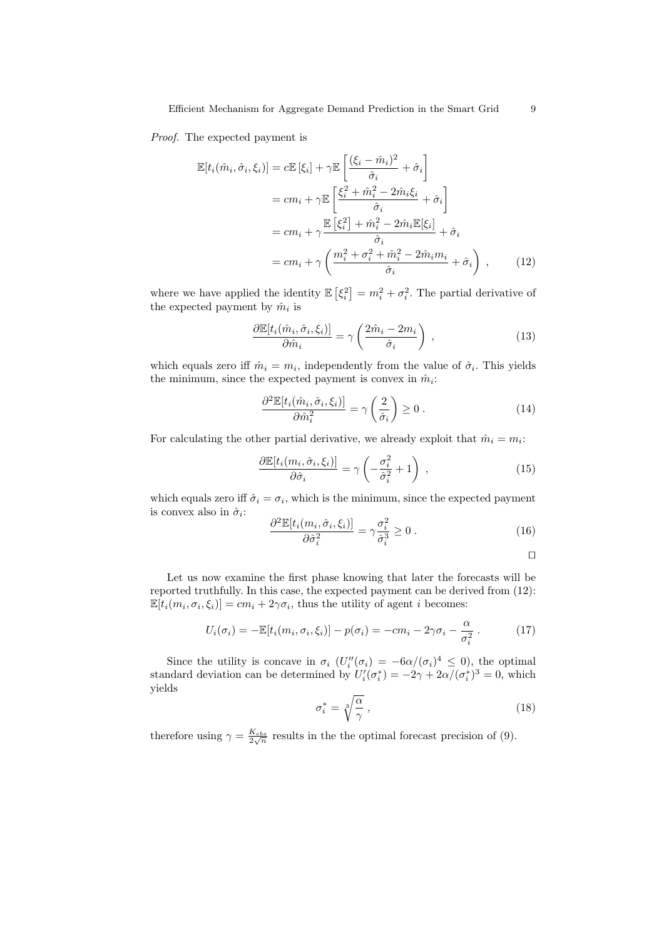Proof. The expected payment is

$$
\mathbb{E}[t_i(\hat{m}_i, \hat{\sigma}_i, \xi_i)] = c \mathbb{E}[\xi_i] + \gamma \mathbb{E}\left[\frac{(\xi_i - \hat{m}_i)^2}{\hat{\sigma}_i} + \hat{\sigma}_i\right]
$$

$$
= cm_i + \gamma \mathbb{E}\left[\frac{\xi_i^2 + \hat{m}_i^2 - 2\hat{m}_i\xi_i}{\hat{\sigma}_i} + \hat{\sigma}_i\right]
$$

$$
= cm_i + \gamma \frac{\mathbb{E}[\xi_i^2] + \hat{m}_i^2 - 2\hat{m}_i\mathbb{E}[\xi_i]}{\hat{\sigma}_i} + \hat{\sigma}_i
$$

$$
= cm_i + \gamma \left(\frac{m_i^2 + \sigma_i^2 + \hat{m}_i^2 - 2\hat{m}_i m_i}{\hat{\sigma}_i} + \hat{\sigma}_i\right), \qquad (12)
$$

where we have applied the identity  $\mathbb{E}[\xi_i^2] = m_i^2 + \sigma_i^2$ . The partial derivative of the expected payment by  $\hat{m}_i$  is

$$
\frac{\partial \mathbb{E}[t_i(\hat{m}_i, \hat{\sigma}_i, \xi_i)]}{\partial \hat{m}_i} = \gamma \left( \frac{2\hat{m}_i - 2m_i}{\hat{\sigma}_i} \right) ,\qquad (13)
$$

which equals zero iff  $\hat{m}_i = m_i$ , independently from the value of  $\hat{\sigma}_i$ . This yields the minimum, since the expected payment is convex in  $\hat{m}_i$ :

$$
\frac{\partial^2 \mathbb{E}[t_i(\hat{m}_i, \hat{\sigma}_i, \xi_i)]}{\partial \hat{m}_i^2} = \gamma \left(\frac{2}{\hat{\sigma}_i}\right) \ge 0.
$$
\n(14)

For calculating the other partial derivative, we already exploit that  $\hat{m}_i = m_i$ :

$$
\frac{\partial \mathbb{E}[t_i(m_i, \hat{\sigma}_i, \xi_i)]}{\partial \hat{\sigma}_i} = \gamma \left( -\frac{\sigma_i^2}{\hat{\sigma}_i^2} + 1 \right) ,\qquad (15)
$$

which equals zero iff  $\hat{\sigma}_i = \sigma_i$ , which is the minimum, since the expected payment is convex also in  $\hat{\sigma}_i$ :

$$
\frac{\partial^2 \mathbb{E}[t_i(m_i, \hat{\sigma}_i, \xi_i)]}{\partial \hat{\sigma}_i^2} = \gamma \frac{\sigma_i^2}{\hat{\sigma}_i^3} \ge 0.
$$
\n(16)

$$
\qquad \qquad \Box
$$

Let us now examine the first phase knowing that later the forecasts will be reported truthfully. In this case, the expected payment can be derived from (12):  $\mathbb{E}[t_i(m_i, \sigma_i, \xi_i)] = cm_i + 2\gamma \sigma_i$ , thus the utility of agent *i* becomes:

$$
U_i(\sigma_i) = -\mathbb{E}[t_i(m_i, \sigma_i, \xi_i)] - p(\sigma_i) = -cm_i - 2\gamma\sigma_i - \frac{\alpha}{\sigma_i^2}.
$$
 (17)

Since the utility is concave in  $\sigma_i$   $(U''_i(\sigma_i) = -6\alpha/(\sigma_i)^4 \leq 0)$ , the optimal standard deviation can be determined by  $U_i'(\sigma_i^*) = -2\gamma + 2\alpha/(\sigma_i^*)^3 = 0$ , which yields

$$
\sigma_i^* = \sqrt[3]{\frac{\alpha}{\gamma}}\,,\tag{18}
$$

therefore using  $\gamma = \frac{K_{obs}}{2\sqrt{n}}$  results in the the optimal forecast precision of (9).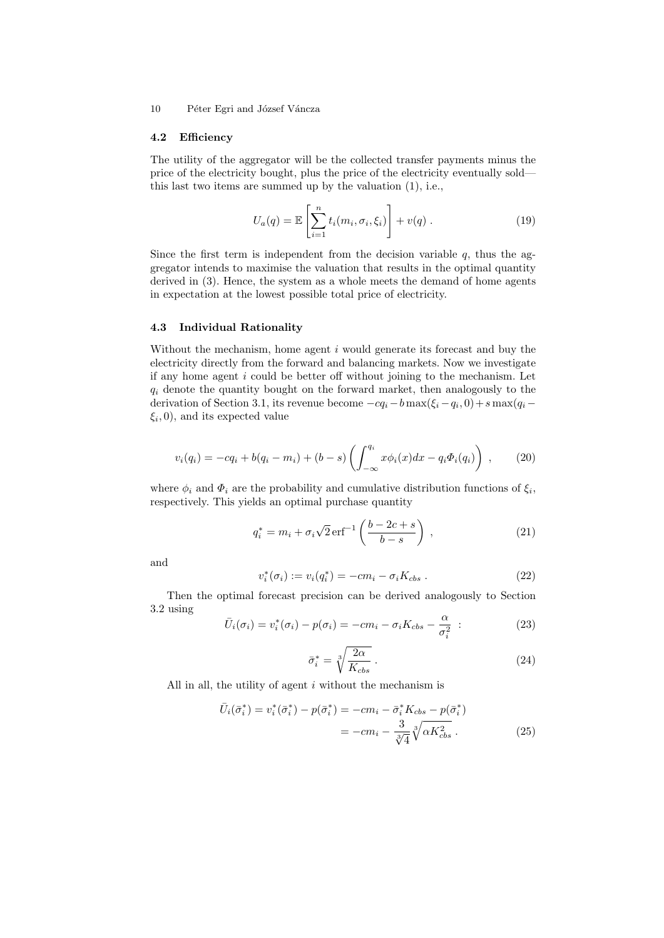#### 4.2 Efficiency

The utility of the aggregator will be the collected transfer payments minus the price of the electricity bought, plus the price of the electricity eventually sold this last two items are summed up by the valuation (1), i.e.,

$$
U_a(q) = \mathbb{E}\left[\sum_{i=1}^n t_i(m_i, \sigma_i, \xi_i)\right] + v(q) \tag{19}
$$

Since the first term is independent from the decision variable  $q$ , thus the aggregator intends to maximise the valuation that results in the optimal quantity derived in (3). Hence, the system as a whole meets the demand of home agents in expectation at the lowest possible total price of electricity.

## 4.3 Individual Rationality

Without the mechanism, home agent  $i$  would generate its forecast and buy the electricity directly from the forward and balancing markets. Now we investigate if any home agent  $i$  could be better off without joining to the mechanism. Let  $q_i$  denote the quantity bought on the forward market, then analogously to the derivation of Section 3.1, its revenue become  $-cq_i - b \max(\xi_i - \xi_i, 0) + s \max(q_i - \xi_i)$  $\xi_i$ , 0), and its expected value

$$
v_i(q_i) = -cq_i + b(q_i - m_i) + (b - s) \left( \int_{-\infty}^{q_i} x \phi_i(x) dx - q_i \Phi_i(q_i) \right) , \qquad (20)
$$

where  $\phi_i$  and  $\Phi_i$  are the probability and cumulative distribution functions of  $\xi_i$ , respectively. This yields an optimal purchase quantity

$$
q_i^* = m_i + \sigma_i \sqrt{2} \,\text{erf}^{-1} \left( \frac{b - 2c + s}{b - s} \right) , \qquad (21)
$$

and

$$
v_i^*(\sigma_i) := v_i(q_i^*) = -cm_i - \sigma_i K_{cbs} . \qquad (22)
$$

Then the optimal forecast precision can be derived analogously to Section 3.2 using

$$
\bar{U}_i(\sigma_i) = v_i^*(\sigma_i) - p(\sigma_i) = -cm_i - \sigma_i K_{cbs} - \frac{\alpha}{\sigma_i^2} \tag{23}
$$

$$
\bar{\sigma}_i^* = \sqrt[3]{\frac{2\alpha}{K_{cbs}}} \ . \tag{24}
$$

All in all, the utility of agent  $i$  without the mechanism is

$$
\bar{U}_{i}(\bar{\sigma}_{i}^{*}) = v_{i}^{*}(\bar{\sigma}_{i}^{*}) - p(\bar{\sigma}_{i}^{*}) = -cm_{i} - \bar{\sigma}_{i}^{*}K_{cbs} - p(\bar{\sigma}_{i}^{*})
$$
\n
$$
= -cm_{i} - \frac{3}{\sqrt[3]{4}}\sqrt[3]{\alpha K_{cbs}^{2}}.
$$
\n(25)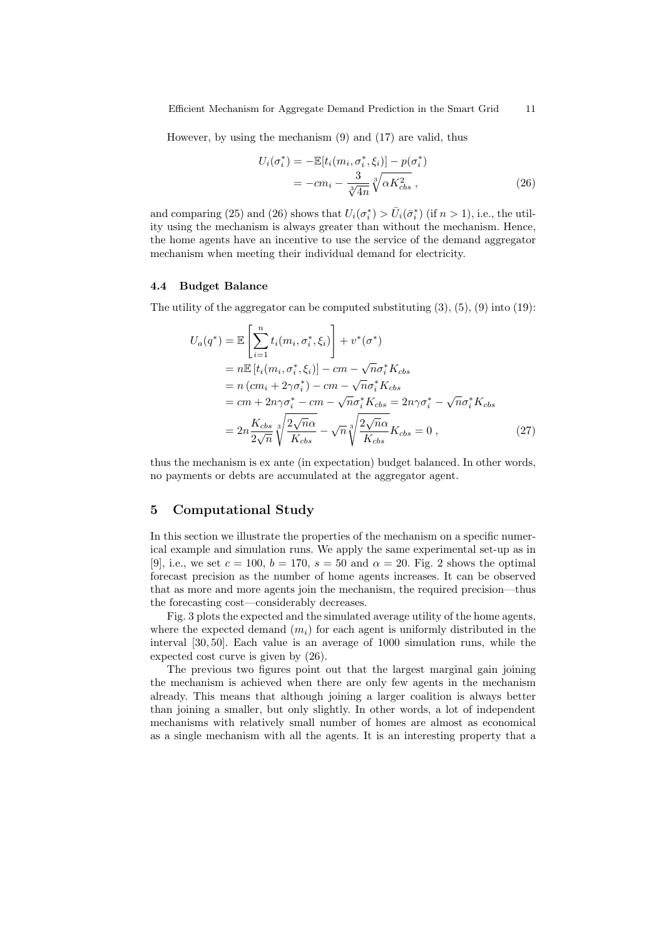However, by using the mechanism (9) and (17) are valid, thus

$$
U_i(\sigma_i^*) = -\mathbb{E}[t_i(m_i, \sigma_i^*, \xi_i)] - p(\sigma_i^*)
$$
  
= 
$$
-cm_i - \frac{3}{\sqrt[3]{4n}} \sqrt[3]{\alpha K_{cbs}^2},
$$
 (26)

and comparing (25) and (26) shows that  $U_i(\sigma_i^*) > \bar{U}_i(\bar{\sigma}_i^*)$  (if  $n > 1$ ), i.e., the utility using the mechanism is always greater than without the mechanism. Hence, the home agents have an incentive to use the service of the demand aggregator mechanism when meeting their individual demand for electricity.

#### 4.4 Budget Balance

The utility of the aggregator can be computed substituting  $(3)$ ,  $(5)$ ,  $(9)$  into  $(19)$ :

$$
U_a(q^*) = \mathbb{E}\left[\sum_{i=1}^n t_i(m_i, \sigma_i^*, \xi_i)\right] + v^*(\sigma^*)
$$
  
\n
$$
= n\mathbb{E}\left[t_i(m_i, \sigma_i^*, \xi_i)\right] - cm - \sqrt{n}\sigma_i^* K_{obs}
$$
  
\n
$$
= n\left(c m_i + 2\gamma \sigma_i^*\right) - cm - \sqrt{n}\sigma_i^* K_{obs}
$$
  
\n
$$
= cm + 2n\gamma \sigma_i^* - cm - \sqrt{n}\sigma_i^* K_{obs} = 2n\gamma \sigma_i^* - \sqrt{n}\sigma_i^* K_{obs}
$$
  
\n
$$
= 2n \frac{K_{obs}}{2\sqrt{n}} \sqrt[3]{\frac{2\sqrt{n}\alpha}{K_{obs}}} - \sqrt{n} \sqrt[3]{\frac{2\sqrt{n}\alpha}{K_{obs}}} K_{obs} = 0 , \qquad (27)
$$

thus the mechanism is ex ante (in expectation) budget balanced. In other words, no payments or debts are accumulated at the aggregator agent.

# 5 Computational Study

In this section we illustrate the properties of the mechanism on a specific numerical example and simulation runs. We apply the same experimental set-up as in [9], i.e., we set  $c = 100$ ,  $b = 170$ ,  $s = 50$  and  $\alpha = 20$ . Fig. 2 shows the optimal forecast precision as the number of home agents increases. It can be observed that as more and more agents join the mechanism, the required precision—thus the forecasting cost—considerably decreases.

Fig. 3 plots the expected and the simulated average utility of the home agents, where the expected demand  $(m_i)$  for each agent is uniformly distributed in the interval [30, 50]. Each value is an average of 1000 simulation runs, while the expected cost curve is given by (26).

The previous two figures point out that the largest marginal gain joining the mechanism is achieved when there are only few agents in the mechanism already. This means that although joining a larger coalition is always better than joining a smaller, but only slightly. In other words, a lot of independent mechanisms with relatively small number of homes are almost as economical as a single mechanism with all the agents. It is an interesting property that a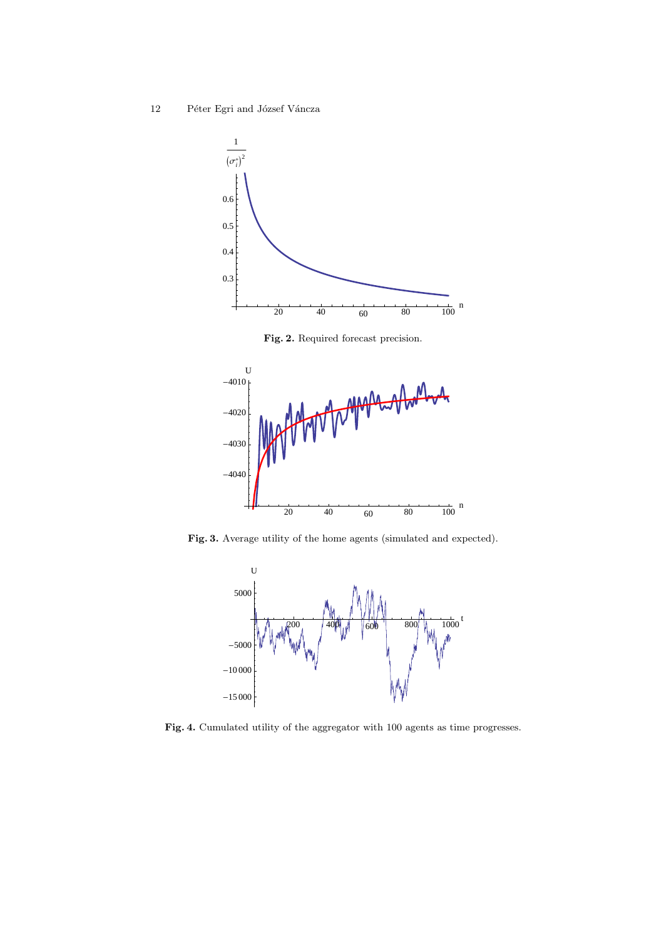

Fig. 2. Required forecast precision.



Fig. 3. Average utility of the home agents (simulated and expected).



Fig. 4. Cumulated utility of the aggregator with 100 agents as time progresses.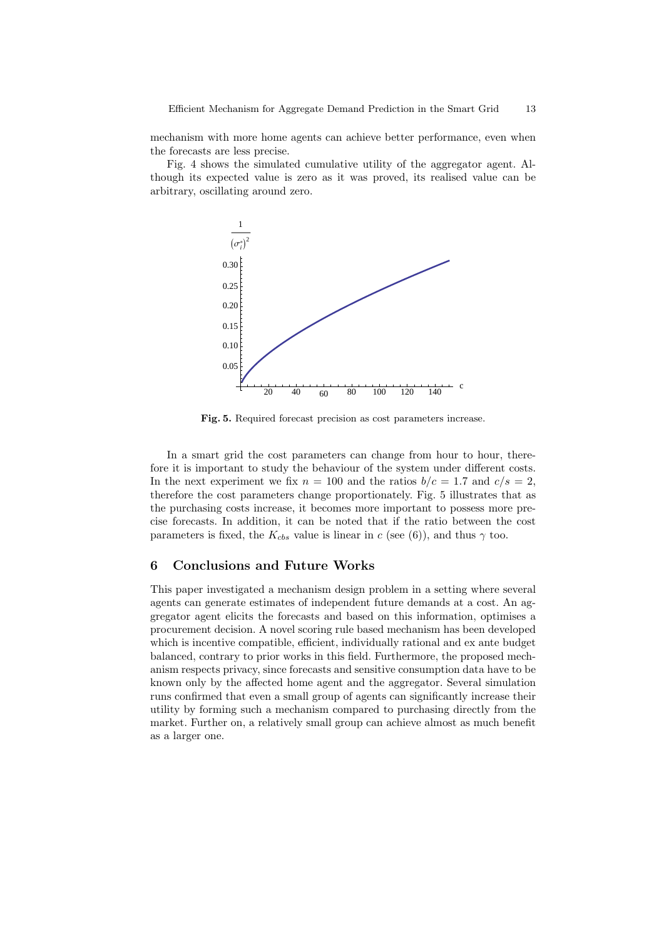mechanism with more home agents can achieve better performance, even when the forecasts are less precise.

Fig. 4 shows the simulated cumulative utility of the aggregator agent. Although its expected value is zero as it was proved, its realised value can be arbitrary, oscillating around zero.



Fig. 5. Required forecast precision as cost parameters increase.

In a smart grid the cost parameters can change from hour to hour, therefore it is important to study the behaviour of the system under different costs. In the next experiment we fix  $n = 100$  and the ratios  $b/c = 1.7$  and  $c/s = 2$ , therefore the cost parameters change proportionately. Fig. 5 illustrates that as the purchasing costs increase, it becomes more important to possess more precise forecasts. In addition, it can be noted that if the ratio between the cost parameters is fixed, the  $K_{cbs}$  value is linear in c (see (6)), and thus  $\gamma$  too.

# 6 Conclusions and Future Works

This paper investigated a mechanism design problem in a setting where several agents can generate estimates of independent future demands at a cost. An aggregator agent elicits the forecasts and based on this information, optimises a procurement decision. A novel scoring rule based mechanism has been developed which is incentive compatible, efficient, individually rational and ex ante budget balanced, contrary to prior works in this field. Furthermore, the proposed mechanism respects privacy, since forecasts and sensitive consumption data have to be known only by the affected home agent and the aggregator. Several simulation runs confirmed that even a small group of agents can significantly increase their utility by forming such a mechanism compared to purchasing directly from the market. Further on, a relatively small group can achieve almost as much benefit as a larger one.